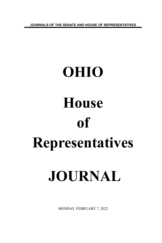**JOURNALS OF THE SENATE AND HOUSE OF REPRESENTATIVES**

# **OHIO House of Representatives JOURNAL**

MONDAY, FEBRUARY 7, 2022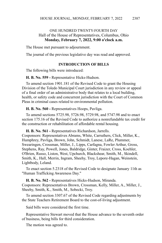# ONE HUNDRED TWENTY-FOURTH DAY Hall of the House of Representatives, Columbus, Ohio **Monday, February 7, 2022, 9:00 o'clock a.m.**

The House met pursuant to adjournment.

The journal of the previous legislative day was read and approved.

## **INTRODUCTION OF BILLS**

The following bills were introduced:

### **H. B. No. 559 -** Representative Hicks-Hudson.

To amend section 1901.181 of the Revised Code to grant the Housing Division of the Toledo Municipal Court jurisdiction in any review or appeal of a final order of an administrative body that relates to a local building, health, or safety code and concurrent jurisdiction with the Court of Common Pleas in criminal cases related to environmental pollution.

**H. B. No. 560 -** Representatives Hoops, Pavliga.

To amend sections 5725.98, 5726.98, 5729.98, and 5747.98 and to enact section 175.16 of the Revised Code to authorize a nonrefundable tax credit for the construction or rehabilitation of affordable rental housing.

**H. B. No. 561 -** Representatives Richardson, Jarrells. Cosponsors: Representatives Abrams, White, Carruthers, Click, Miller, K., Humphrey, Pavliga, Brown, John, Schmidt, Lanese, LaRe, Plummer, Swearingen, Crossman, Miller, J., Lipps, Carfagna, Fowler Arthur, Gross, Stephens, Ray, Powell, Jones, Baldridge, Ginter, Fraizer, Cross, Koehler, O'Brien, Russo, Liston, West, Upchurch, Blackshear, Smith, M., Skindell, Smith, K., Hall, Merrin, Ingram, Sheehy, Troy, Lepore-Hagan, Weinstein, Lightbody, Leland.

To enact section 5.2318 of the Revised Code to designate January 11th as "Human Trafficking Awareness Day."

**H. B. No. 562 -** Representatives Hicks-Hudson, Miranda. Cosponsors: Representatives Brown, Crossman, Kelly, Miller, A., Miller, J., Sheehy, Smith, K., Smith, M., Sobecki, Troy.

To amend section 3307.67 of the Revised Code regarding adjustments by the State Teachers Retirement Board to the cost-of-living adjustment.

Said bills were considered the first time.

Representative Stewart moved that the House advance to the seventh order of business, being bills for third consideration.

The motion was agreed to.